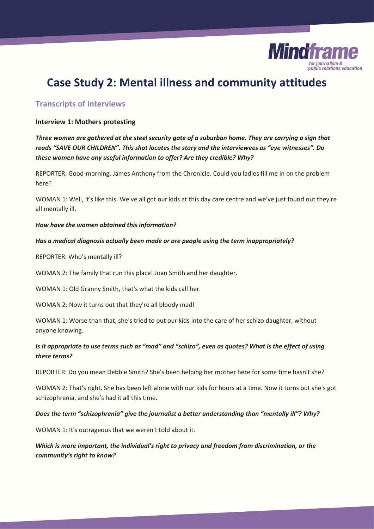

# **Case Study 2: Mental illness and community attitudes**

# **Transcripts of interviews**

#### **Interview 1: Mothers protesting**

*Three women are gathered at the steel security gate of a suburban home. They are carrying a sign that reads "SAVE OUR CHILDREN". This shot locates the story and the interviewees as "eye witnesses". Do these women have any useful information to offer? Are they credible? Why?* 

REPORTER: Good-morning. James Anthony from the Chronicle. Could you ladies fill me in on the problem here?

WOMAN 1: Well, it's like this. We've all got our kids at this day care centre and we've just found out they're all mentally ill.

#### *How have the women obtained this information?*

#### *Has a medical diagnosis actually been made or are people using the term inappropriately?*

REPORTER: Who's mentally ill?

WOMAN 2: The family that run this place! Joan Smith and her daughter.

WOMAN 1: Old Granny Smith, that's what the kids call her.

WOMAN 2: Now it turns out that they're all bloody mad!

WOMAN 1: Worse than that, she's tried to put our kids into the care of her schizo daughter, without anyone knowing.

### *Is it appropriate to use terms such as "mad" and "schizo", even as quotes? What is the effect of using these terms?*

REPORTER: Do you mean Debbie Smith? She's been helping her mother here for some time hasn't she?

WOMAN 2: That's right. She has been left alone with our kids for hours at a time. Now it turns out she's got schizophrenia, and she's had it all this time.

#### *Does the term "schizophrenia" give the journalist a better understanding than "mentally ill"? Why?*

WOMAN 1: It's outrageous that we weren't told about it.

*Which is more important, the individual's right to privacy and freedom from discrimination, or the community's right to know?*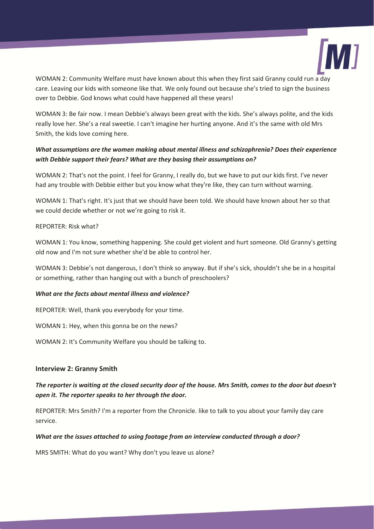

WOMAN 2: Community Welfare must have known about this when they first said Granny could run a day care. Leaving our kids with someone like that. We only found out because she's tried to sign the business over to Debbie. God knows what could have happened all these years!

WOMAN 3: Be fair now. I mean Debbie's always been great with the kids. She's always polite, and the kids really love her. She's a real sweetie. I can't imagine her hurting anyone. And it's the same with old Mrs Smith, the kids love coming here.

# *What assumptions are the women making about mental illness and schizophrenia? Does their experience with Debbie support their fears? What are they basing their assumptions on?*

WOMAN 2: That's not the point. I feel for Granny, I really do, but we have to put our kids first. I've never had any trouble with Debbie either but you know what they're like, they can turn without warning.

WOMAN 1: That's right. It's just that we should have been told. We should have known about her so that we could decide whether or not we're going to risk it.

#### REPORTER: Risk what?

WOMAN 1: You know, something happening. She could get violent and hurt someone. Old Granny's getting old now and I'm not sure whether she'd be able to control her.

WOMAN 3: Debbie's not dangerous, I don't think so anyway. But if she's sick, shouldn't she be in a hospital or something, rather than hanging out with a bunch of preschoolers?

#### *What are the facts about mental illness and violence?*

REPORTER: Well, thank you everybody for your time.

WOMAN 1: Hey, when this gonna be on the news?

WOMAN 2: It's Community Welfare you should be talking to.

#### **Interview 2: Granny Smith**

### *The reporter is waiting at the closed security door of the house. Mrs Smith, comes to the door but doesn't open it. The reporter speaks to her through the door.*

REPORTER: Mrs Smith? I'm a reporter from the Chronicle. like to talk to you about your family day care service.

#### *What are the issues attached to using footage from an interview conducted through a door?*

MRS SMITH: What do you want? Why don't you leave us alone?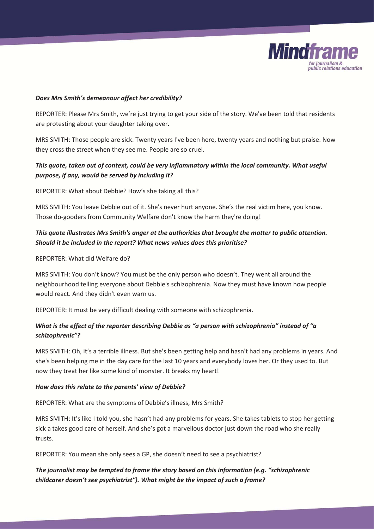

#### *Does Mrs Smith's demeanour affect her credibility?*

REPORTER: Please Mrs Smith, we're just trying to get your side of the story. We've been told that residents are protesting about your daughter taking over.

MRS SMITH: Those people are sick. Twenty years I've been here, twenty years and nothing but praise. Now they cross the street when they see me. People are so cruel.

# *This quote, taken out of context, could be very inflammatory within the local community. What useful purpose, if any, would be served by including it?*

REPORTER: What about Debbie? How's she taking all this?

MRS SMITH: You leave Debbie out of it. She's never hurt anyone. She's the real victim here, you know. Those do-gooders from Community Welfare don't know the harm they're doing!

# *This quote illustrates Mrs Smith's anger at the authorities that brought the matter to public attention. Should it be included in the report? What news values does this prioritise?*

REPORTER: What did Welfare do?

MRS SMITH: You don't know? You must be the only person who doesn't. They went all around the neighbourhood telling everyone about Debbie's schizophrenia. Now they must have known how people would react. And they didn't even warn us.

REPORTER: It must be very difficult dealing with someone with schizophrenia.

# *What is the effect of the reporter describing Debbie as "a person with schizophrenia" instead of "a schizophrenic"?*

MRS SMITH: Oh, it's a terrible illness. But she's been getting help and hasn't had any problems in years. And she's been helping me in the day care for the last 10 years and everybody loves her. Or they used to. But now they treat her like some kind of monster. It breaks my heart!

### *How does this relate to the parents' view of Debbie?*

REPORTER: What are the symptoms of Debbie's illness, Mrs Smith?

MRS SMITH: It's like I told you, she hasn't had any problems for years. She takes tablets to stop her getting sick a takes good care of herself. And she's got a marvellous doctor just down the road who she really trusts.

REPORTER: You mean she only sees a GP, she doesn't need to see a psychiatrist?

# *The journalist may be tempted to frame the story based on this information (e.g. "schizophrenic childcarer doesn't see psychiatrist"). What might be the impact of such a frame?*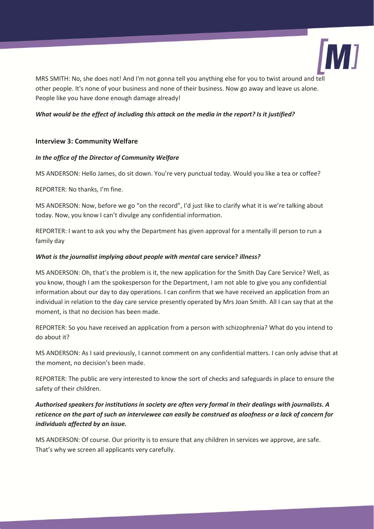

MRS SMITH: No, she does not! And I'm not gonna tell you anything else for you to twist around and tell other people. It's none of your business and none of their business. Now go away and leave us alone. People like you have done enough damage already!

#### *What would be the effect of including this attack on the media in the report? Is it justified?*

### **Interview 3: Community Welfare**

#### *In the office of the Director of Community Welfare*

MS ANDERSON: Hello James, do sit down. You're very punctual today. Would you like a tea or coffee?

REPORTER: No thanks, I'm fine.

MS ANDERSON: Now, before we go "on the record", I'd just like to clarify what it is we're talking about today. Now, you know I can't divulge any confidential information.

REPORTER: I want to ask you why the Department has given approval for a mentally ill person to run a family day

#### *What is the journalist implying about people with mental* **care service?** *illness?*

MS ANDERSON: Oh, that's the problem is it, the new application for the Smith Day Care Service? Well, as you know, though I am the spokesperson for the Department, I am not able to give you any confidential information about our day to day operations. I can confirm that we have received an application from an individual in relation to the day care service presently operated by Mrs Joan Smith. All I can say that at the moment, is that no decision has been made.

REPORTER: So you have received an application from a person with schizophrenia? What do you intend to do about it?

MS ANDERSON: As I said previously, I cannot comment on any confidential matters. I can only advise that at the moment, no decision's been made.

REPORTER: The public are very interested to know the sort of checks and safeguards in place to ensure the safety of their children.

# *Authorised speakers for institutions in society are often very formal in their dealings with journalists. A reticence on the part of such an interviewee can easily be construed as aloofness or a lack of concern for individuals affected by an issue.*

MS ANDERSON: Of course. Our priority is to ensure that any children in services we approve, are safe. That's why we screen all applicants very carefully.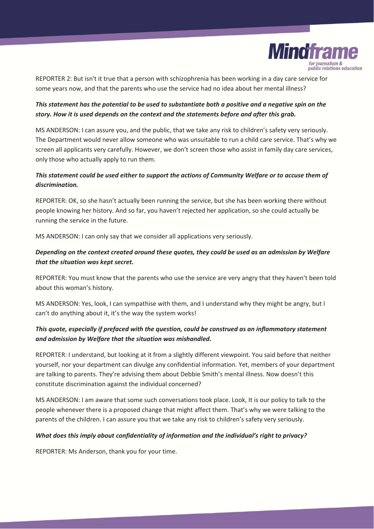

REPORTER 2: But isn't it true that a person with schizophrenia has been working in a day care service for some years now, and that the parents who use the service had no idea about her mental illness?

# *This statement has the potential to be used to substantiate both a positive and a negative spin on the story. How it is used depends on the context and the statements before and after this grab.*

MS ANDERSON: I can assure you, and the public, that we take any risk to children's safety very seriously. The Department would never allow someone who was unsuitable to run a child care service. That's why we screen all applicants very carefully. However, we don't screen those who assist in family day care services, only those who actually apply to run them.

### *This statement could be used either to support the actions of Community Welfare or to accuse them of discrimination.*

REPORTER: OK, so she hasn't actually been running the service, but she has been working there without people knowing her history. And so far, you haven't rejected her application, so she could actually be running the service in the future.

MS ANDERSON: I can only say that we consider all applications very seriously.

# *Depending on the context created around these quotes, they could be used as an admission by Welfare that the situation was kept secret.*

REPORTER: You must know that the parents who use the service are very angry that they haven't been told about this woman's history.

MS ANDERSON: Yes, look, I can sympathise with them, and I understand why they might be angry, but I can't do anything about it, it's the way the system works!

### *This quote, especially if prefaced with the question, could be construed as an inflammatory statement and admission by Welfare that the situation was mishandled.*

REPORTER: I understand, but looking at it from a slightly different viewpoint. You said before that neither yourself, nor your department can divulge any confidential information. Yet, members of your department are talking to parents. They're advising them about Debbie Smith's mental illness. Now doesn't this constitute discrimination against the individual concerned?

MS ANDERSON: I am aware that some such conversations took place. Look, It is our policy to talk to the people whenever there is a proposed change that might affect them. That's why we were talking to the parents of the children. I can assure you that we take any risk to children's safety very seriously.

#### *What does this imply about confidentiality of information and the individual's right to privacy?*

REPORTER: Ms Anderson, thank you for your time.